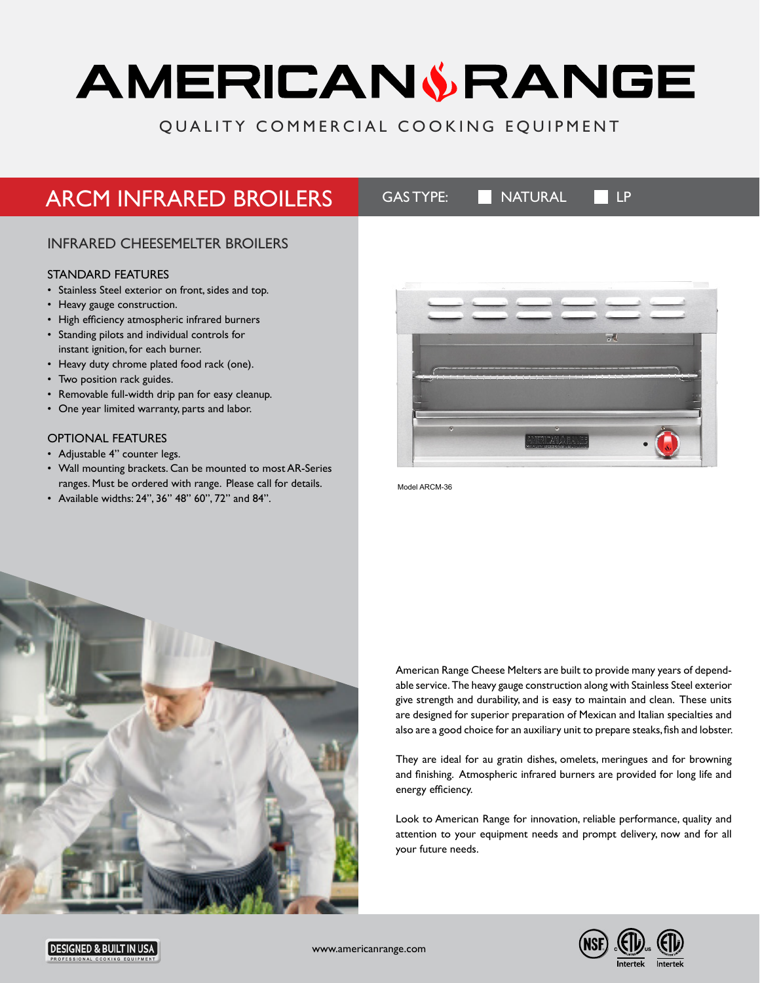# AMERICANSRANGE

## QUALITY COMMERCIAL COOKING EQUIPMENT

## ARCM INFRARED BROILERS GASTYPE: NATURAL LP

## INFRARED CHEESEMELTER BROILERS

## STANDARD FEATURES

- Stainless Steel exterior on front, sides and top.
- Heavy gauge construction.
- High efficiency atmospheric infrared burners
- Standing pilots and individual controls for instant ignition, for each burner.
- Heavy duty chrome plated food rack (one).
- Two position rack guides.
- Removable full-width drip pan for easy cleanup.
- One year limited warranty, parts and labor.

## OPTIONAL FEATURES

- Adjustable 4" counter legs.
- Wall mounting brackets. Can be mounted to most AR-Series ranges. Must be ordered with range. Please call for details.
- Available widths: 24", 36" 48" 60", 72" and 84".



Model ARCM-36



American Range Cheese Melters are built to provide many years of dependable service. The heavy gauge construction along with Stainless Steel exterior give strength and durability, and is easy to maintain and clean. These units are designed for superior preparation of Mexican and Italian specialties and also are a good choice for an auxiliary unit to prepare steaks, fish and lobster.

They are ideal for au gratin dishes, omelets, meringues and for browning and finishing. Atmospheric infrared burners are provided for long life and energy efficiency.

Look to American Range for innovation, reliable performance, quality and attention to your equipment needs and prompt delivery, now and for all your future needs.